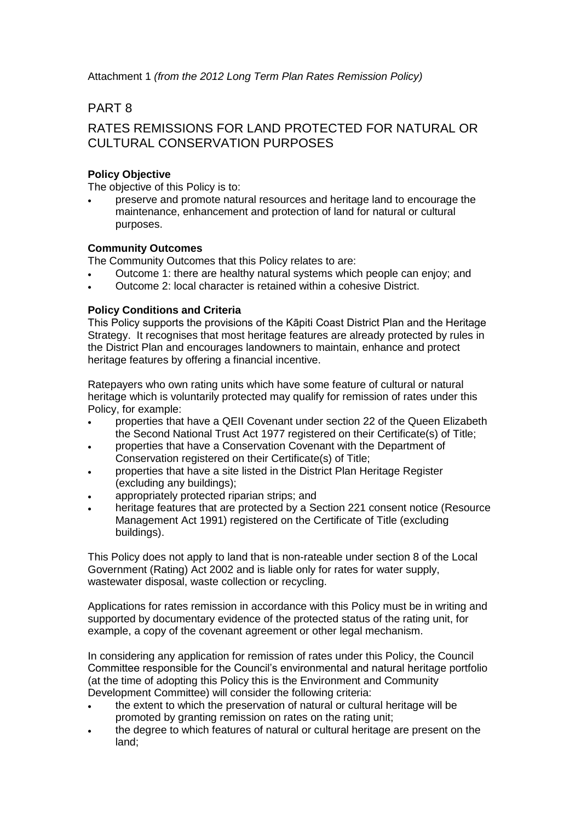Attachment 1 *(from the 2012 Long Term Plan Rates Remission Policy)*

# PART 8

# RATES REMISSIONS FOR LAND PROTECTED FOR NATURAL OR CULTURAL CONSERVATION PURPOSES

## **Policy Objective**

The objective of this Policy is to:

 preserve and promote natural resources and heritage land to encourage the maintenance, enhancement and protection of land for natural or cultural purposes.

### **Community Outcomes**

The Community Outcomes that this Policy relates to are:

- Outcome 1: there are healthy natural systems which people can enjoy; and
- Outcome 2: local character is retained within a cohesive District.

### **Policy Conditions and Criteria**

This Policy supports the provisions of the Kāpiti Coast District Plan and the Heritage Strategy. It recognises that most heritage features are already protected by rules in the District Plan and encourages landowners to maintain, enhance and protect heritage features by offering a financial incentive.

Ratepayers who own rating units which have some feature of cultural or natural heritage which is voluntarily protected may qualify for remission of rates under this Policy, for example:

- properties that have a QEII Covenant under section 22 of the Queen Elizabeth the Second National Trust Act 1977 registered on their Certificate(s) of Title;
- properties that have a Conservation Covenant with the Department of Conservation registered on their Certificate(s) of Title;
- properties that have a site listed in the District Plan Heritage Register (excluding any buildings);
- appropriately protected riparian strips; and
- heritage features that are protected by a Section 221 consent notice (Resource Management Act 1991) registered on the Certificate of Title (excluding buildings).

This Policy does not apply to land that is non-rateable under section 8 of the Local Government (Rating) Act 2002 and is liable only for rates for water supply, wastewater disposal, waste collection or recycling.

Applications for rates remission in accordance with this Policy must be in writing and supported by documentary evidence of the protected status of the rating unit, for example, a copy of the covenant agreement or other legal mechanism.

In considering any application for remission of rates under this Policy, the Council Committee responsible for the Council's environmental and natural heritage portfolio (at the time of adopting this Policy this is the Environment and Community Development Committee) will consider the following criteria:

- the extent to which the preservation of natural or cultural heritage will be promoted by granting remission on rates on the rating unit;
- the degree to which features of natural or cultural heritage are present on the land;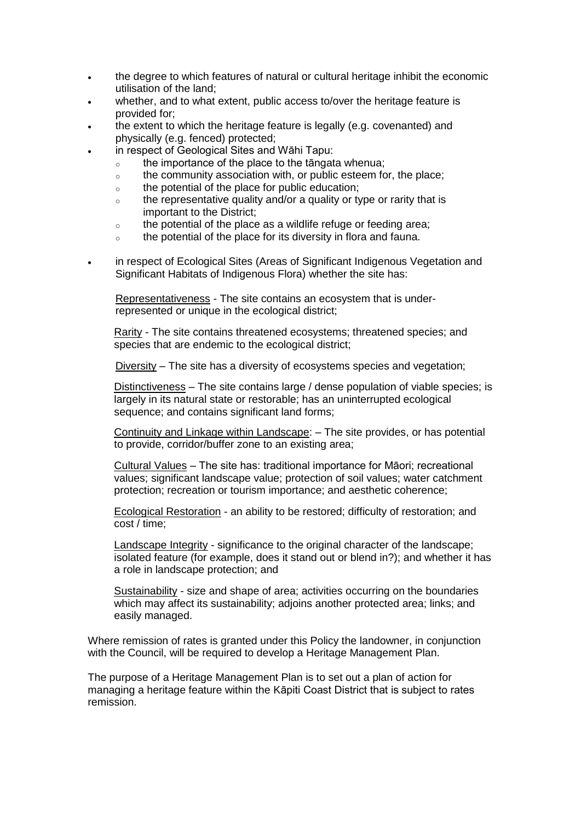- the degree to which features of natural or cultural heritage inhibit the economic utilisation of the land;
- whether, and to what extent, public access to/over the heritage feature is provided for;
- the extent to which the heritage feature is legally (e.g. covenanted) and physically (e.g. fenced) protected;
	- in respect of Geological Sites and Wāhi Tapu:
		- $\circ$  the importance of the place to the tāngata whenua;
		- $\circ$  the community association with, or public esteem for, the place;
		- o the potential of the place for public education;
		- $\circ$  the representative quality and/or a quality or type or rarity that is important to the District;
		- $\circ$  the potential of the place as a wildlife refuge or feeding area;
		- o the potential of the place for its diversity in flora and fauna.
- in respect of Ecological Sites (Areas of Significant Indigenous Vegetation and Significant Habitats of Indigenous Flora) whether the site has:

Representativeness - The site contains an ecosystem that is underrepresented or unique in the ecological district;

Rarity - The site contains threatened ecosystems; threatened species; and species that are endemic to the ecological district;

Diversity – The site has a diversity of ecosystems species and vegetation;

Distinctiveness – The site contains large / dense population of viable species; is largely in its natural state or restorable; has an uninterrupted ecological sequence; and contains significant land forms;

Continuity and Linkage within Landscape: – The site provides, or has potential to provide, corridor/buffer zone to an existing area;

Cultural Values – The site has: traditional importance for Māori; recreational values; significant landscape value; protection of soil values; water catchment protection; recreation or tourism importance; and aesthetic coherence;

Ecological Restoration - an ability to be restored; difficulty of restoration; and cost / time;

Landscape Integrity - significance to the original character of the landscape; isolated feature (for example, does it stand out or blend in?); and whether it has a role in landscape protection; and

Sustainability - size and shape of area; activities occurring on the boundaries which may affect its sustainability; adjoins another protected area; links; and easily managed.

Where remission of rates is granted under this Policy the landowner, in conjunction with the Council, will be required to develop a Heritage Management Plan.

The purpose of a Heritage Management Plan is to set out a plan of action for managing a heritage feature within the Kāpiti Coast District that is subject to rates remission.